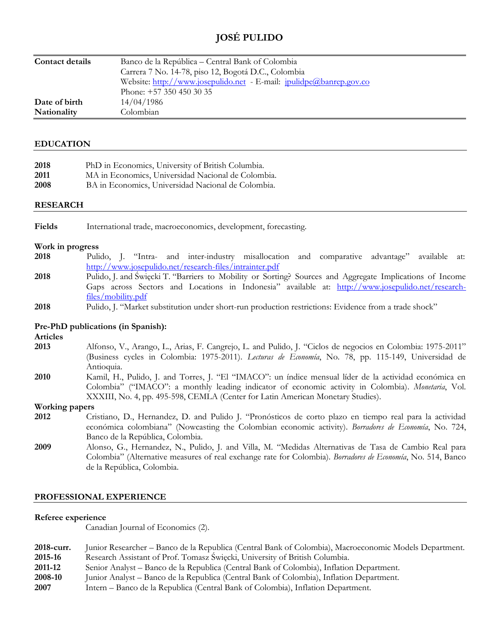# **JOSÉ PULIDO**

| <b>Contact details</b> | Banco de la República – Central Bank of Colombia                    |
|------------------------|---------------------------------------------------------------------|
|                        | Carrera 7 No. 14-78, piso 12, Bogotá D.C., Colombia                 |
|                        | Website: http://www.josepulido.net - E-mail: jpulidpe@banrep.gov.co |
|                        | Phone: $+57$ 350 450 30 35                                          |
| Date of birth          | 14/04/1986                                                          |
| Nationality            | Colombian                                                           |

### **EDUCATION**

| PhD in Economics, University of British Columbia.  |
|----------------------------------------------------|
| MA in Economics, Universidad Nacional de Colombia. |
| BA in Economics, Universidad Nacional de Colombia. |
|                                                    |

### **RESEARCH**

**Fields** International trade, macroeconomics, development, forecasting.

#### **Work in progress**

- **2018** Pulido, J. "Intra- and inter-industry misallocation and comparative advantage" available at: <http://www.josepulido.net/research-files/intrainter.pdf>
- **2018** Pulido, J. and Święcki T. "Barriers to Mobility or Sorting? Sources and Aggregate Implications of Income Gaps across Sectors and Locations in Indonesia" available at: [http://www.josepulido.net/research](http://www.josepulido.net/research-files/mobility.pdf)[files/mobility.pdf](http://www.josepulido.net/research-files/mobility.pdf)
- **2018** Pulido, J. "Market substitution under short-run production restrictions: Evidence from a trade shock"

### **Pre-PhD publications (in Spanish):**

**Articles** 

- **2013** Alfonso, V., Arango, L., Arias, F. Cangrejo, L. and Pulido, J. "Ciclos de negocios en Colombia: 1975-2011" (Business cycles in Colombia: 1975-2011). *Lecturas de Economía*, No. 78, pp. 115-149, Universidad de Antioquia.
- **2010** Kamil, H., Pulido, J. and Torres, J. "El "IMACO": un índice mensual líder de la actividad económica en Colombia" ("IMACO": a monthly leading indicator of economic activity in Colombia). *Monetaria*, Vol. XXXIII, No. 4, pp. 495-598, CEMLA (Center for Latin American Monetary Studies).

#### **Working papers**

- **2012** Cristiano, D., Hernandez, D. and Pulido J. "Pronósticos de corto plazo en tiempo real para la actividad económica colombiana" (Nowcasting the Colombian economic activity). *Borradores de Economía*, No. 724, Banco de la República, Colombia.
- **2009** Alonso, G., Hernandez, N., Pulido, J. and Villa, M. "Medidas Alternativas de Tasa de Cambio Real para Colombia" (Alternative measures of real exchange rate for Colombia). *Borradores de Economía*, No. 514, Banco de la República, Colombia.

### **PROFESSIONAL EXPERIENCE**

#### **Referee experience**

Canadian Journal of Economics (2).

| 2018-curr. | Junior Researcher – Banco de la Republica (Central Bank of Colombia), Macroeconomic Models Department. |
|------------|--------------------------------------------------------------------------------------------------------|
| 2015-16    | Research Assistant of Prof. Tomasz Swięcki, University of British Columbia.                            |
| 2011-12    | Senior Analyst – Banco de la Republica (Central Bank of Colombia), Inflation Department.               |
| 2008-10    | Junior Analyst – Banco de la Republica (Central Bank of Colombia), Inflation Department.               |
| 0.007      | I. DII DII MAJI MAJI MAJI DI                                                                           |

**2007** Intern – Banco de la Republica (Central Bank of Colombia), Inflation Department.